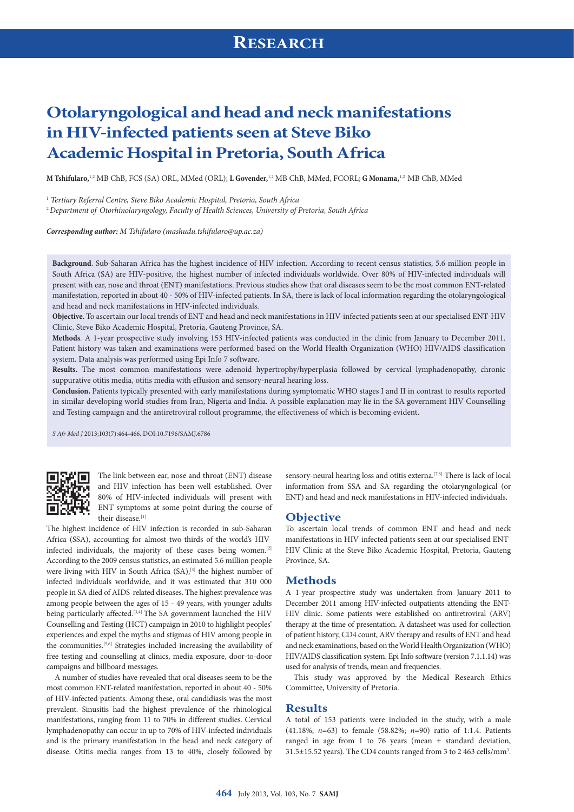# **Otolaryngological and head and neck manifestations in HIV-infected patients seen at Steve Biko Academic Hospital in Pretoria, South Africa**

**M Tshifularo,**1,2 MB ChB, FCS (SA) ORL, MMed (ORL); **L Govender,**1,2 MB ChB, MMed, FCORL; **G Monama,**1,2 MB ChB, MMed

<sup>1</sup> *Tertiary Referral Centre, Steve Biko Academic Hospital, Pretoria, South Africa* 

<sup>2</sup>*Department of Otorhinolaryngology, Faculty of Health Sciences, University of Pretoria, South Africa*

*Corresponding author: M Tshifularo ([mashudu.tshifularo@up.ac.za\)](mailto:mashudu.tshifularo@up.ac.za)*

**Background**. Sub-Saharan Africa has the highest incidence of HIV infection. According to recent census statistics, 5.6 million people in South Africa (SA) are HIV-positive, the highest number of infected individuals worldwide. Over 80% of HIV-infected individuals will present with ear, nose and throat (ENT) manifestations. Previous studies show that oral diseases seem to be the most common ENT-related manifestation, reported in about 40 - 50% of HIV-infected patients. In SA, there is lack of local information regarding the otolaryngological and head and neck manifestations in HIV-infected individuals.

**Objective.** To ascertain our local trends of ENT and head and neck manifestations in HIV-infected patients seen at our specialised ENT-HIV Clinic, Steve Biko Academic Hospital, Pretoria, Gauteng Province, SA.

**Methods***.* A 1-year prospective study involving 153 HIV-infected patients was conducted in the clinic from January to December 2011. Patient history was taken and examinations were performed based on the World Health Organization (WHO) HIV/AIDS classification system. Data analysis was performed using Epi Info 7 software.

**Results.** The most common manifestations were adenoid hypertrophy/hyperplasia followed by cervical lymphadenopathy, chronic suppurative otitis media, otitis media with effusion and sensory-neural hearing loss.

**Conclusion.** Patients typically presented with early manifestations during symptomatic WHO stages I and II in contrast to results reported in similar developing world studies from Iran, Nigeria and India. A possible explanation may lie in the SA government HIV Counselling and Testing campaign and the antiretroviral rollout programme, the effectiveness of which is becoming evident.

*S Afr Med J* 2013;103(7):464-466. DOI:10.7196/SAMJ.6786



The link between ear, nose and throat (ENT) disease and HIV infection has been well established. Over 80% of HIV-infected individuals will present with ENT symptoms at some point during the course of their disease.[1]

The highest incidence of HIV infection is recorded in sub-Saharan Africa (SSA), accounting for almost two-thirds of the world's HIVinfected individuals, the majority of these cases being women.[2] According to the 2009 census statistics, an estimated 5.6 million people were living with HIV in South Africa  $(SA)$ ,  $[3]$  the highest number of infected individuals worldwide, and it was estimated that 310 000 people in SA died of AIDS-related diseases. The highest prevalence was among people between the ages of 15 - 49 years, with younger adults being particularly affected.<sup>[3,4]</sup> The SA government launched the HIV Counselling and Testing (HCT) campaign in 2010 to highlight peoples' experiences and expel the myths and stigmas of HIV among people in the communities.<sup>[5,6]</sup> Strategies included increasing the availability of free testing and counselling at clinics, media exposure, door-to-door campaigns and billboard messages.

A number of studies have revealed that oral diseases seem to be the most common ENT-related manifestation, reported in about 40 - 50% of HIV-infected patients. Among these, oral candidiasis was the most prevalent. Sinusitis had the highest prevalence of the rhinological manifestations, ranging from 11 to 70% in different studies. Cervical lymphadenopathy can occur in up to 70% of HIV-infected individuals and is the primary manifestation in the head and neck category of disease. Otitis media ranges from 13 to 40%, closely followed by

sensory-neural hearing loss and otitis externa.<sup>[7,8]</sup> There is lack of local information from SSA and SA regarding the otolaryngological (or ENT) and head and neck manifestations in HIV-infected individuals.

#### **Objective**

To ascertain local trends of common ENT and head and neck manifestations in HIV-infected patients seen at our specialised ENT-HIV Clinic at the Steve Biko Academic Hospital, Pretoria, Gauteng Province, SA.

#### **Methods**

A 1-year prospective study was undertaken from January 2011 to December 2011 among HIV-infected outpatients attending the ENT-HIV clinic. Some patients were established on antiretroviral (ARV) therapy at the time of presentation. A datasheet was used for collection of patient history, CD4 count, ARV therapy and results of ENT and head and neck examinations, based on the World Health Organization (WHO) HIV/AIDS classification system. Epi Info software (version 7.1.1.14) was used for analysis of trends, mean and frequencies.

This study was approved by the Medical Research Ethics Committee, University of Pretoria.

#### **Results**

A total of 153 patients were included in the study, with a male (41.18%; *n*=63) to female (58.82%; *n*=90) ratio of 1:1.4. Patients ranged in age from 1 to 76 years (mean ± standard deviation, 31.5±15.52 years). The CD4 counts ranged from 3 to 2 463 cells/mm3 .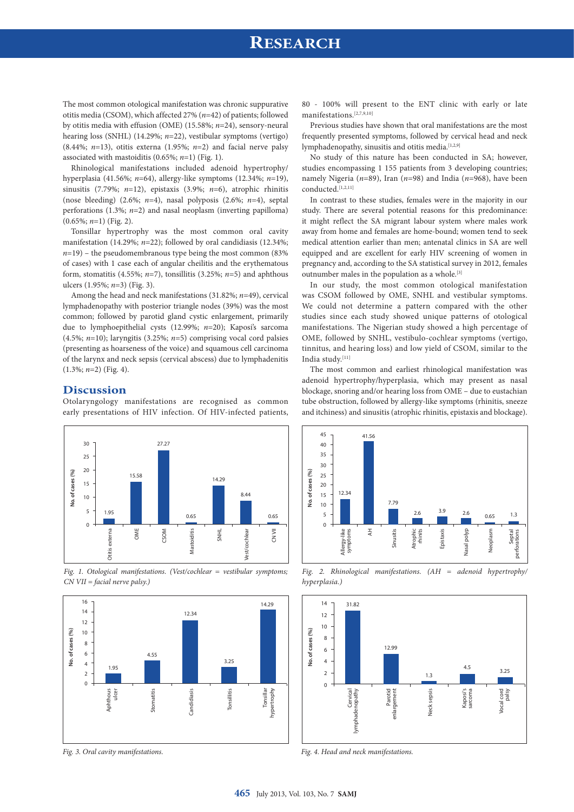## **RESEARCH**

The most common otological manifestation was chronic suppurative otitis media (CSOM), which affected 27% (*n*=42) of patients; followed by otitis media with effusion (OME) (15.58%; *n*=24), sensory-neural hearing loss (SNHL) (14.29%; *n*=22), vestibular symptoms (vertigo)  $(8.44\%; n=13)$ , otitis externa  $(1.95\%; n=2)$  and facial nerve palsy associated with mastoiditis (0.65%; *n*=1) (Fig. 1).

Rhinological manifestations included adenoid hypertrophy/ hyperplasia (41.56%; *n*=64), allergy-like symptoms (12.34%; *n*=19), sinusitis (7.79%; *n*=12), epistaxis (3.9%; *n*=6), atrophic rhinitis (nose bleeding) (2.6%; *n*=4), nasal polyposis (2.6%; *n*=4), septal perforations (1.3%; *n*=2) and nasal neoplasm (inverting papilloma) (0.65%; *n*=1) (Fig. 2).

Tonsillar hypertrophy was the most common oral cavity manifestation (14.29%; *n*=22); followed by oral candidiasis (12.34%;  $n=19$ ) – the pseudomembranous type being the most common (83%) of cases) with 1 case each of angular cheilitis and the erythematous form, stomatitis (4.55%;  $n=7$ ), tonsillitis (3.25%;  $n=5$ ) and aphthous ulcers (1.95%; *n*=3) (Fig. 3).

Among the head and neck manifestations (31.82%; *n*=49), cervical lymphadenopathy with posterior triangle nodes (39%) was the most common; followed by parotid gland cystic enlargement, primarily due to lymphoepithelial cysts (12.99%; *n*=20); Kaposi's sarcoma (4.5%; *n*=10); laryngitis (3.25%; *n*=5) comprising vocal cord palsies (presenting as hoarseness of the voice) and squamous cell carcinoma of the larynx and neck sepsis (cervical abscess) due to lymphadenitis (1.3%; *n*=2) (Fig. 4).

### **Discussion**

Otolaryngology manifestations are recognised as common early presentations of HIV infection. Of HIV-infected patients,



*Fig. 1. Otological manifestations. (Vest/cochlear = vestibular symptoms; CN VII = facial nerve palsy.)* 



*Fig. 3. Oral cavity manifestations.*

80 - 100% will present to the ENT clinic with early or late manifestations.[2,7,9,10]

Previous studies have shown that oral manifestations are the most frequently presented symptoms, followed by cervical head and neck lymphadenopathy, sinusitis and otitis media.<sup>[1,2,9]</sup>

No study of this nature has been conducted in SA; however, studies encompassing 1 155 patients from 3 developing countries; namely Nigeria (*n*=89), Iran (*n*=98) and India (*n*=968), have been conducted.<sup>[1,2,11]</sup>

In contrast to these studies, females were in the majority in our study. There are several potential reasons for this predominance: it might reflect the SA migrant labour system where males work away from home and females are home-bound; women tend to seek medical attention earlier than men; antenatal clinics in SA are well equipped and are excellent for early HIV screening of women in pregnancy and, according to the SA statistical survey in 2012, females outnumber males in the population as a whole.[3]

In our study, the most common otological manifestation was CSOM followed by OME, SNHL and vestibular symptoms. We could not determine a pattern compared with the other studies since each study showed unique patterns of otological manifestations. The Nigerian study showed a high percentage of OME, followed by SNHL, vestibulo-cochlear symptoms (vertigo, tinnitus, and hearing loss) and low yield of CSOM, similar to the India study.[11]

The most common and earliest rhinological manifestation was adenoid hypertrophy/hyperplasia, which may present as nasal blockage, snoring and/or hearing loss from OME – due to eustachian tube obstruction, followed by allergy-like symptoms (rhinitis, sneeze and itchiness) and sinusitis (atrophic rhinitis, epistaxis and blockage).



*Fig. 2. Rhinological manifestations. (AH = adenoid hypertrophy/ hyperplasia.)*



*Fig. 4. Head and neck manifestations.*